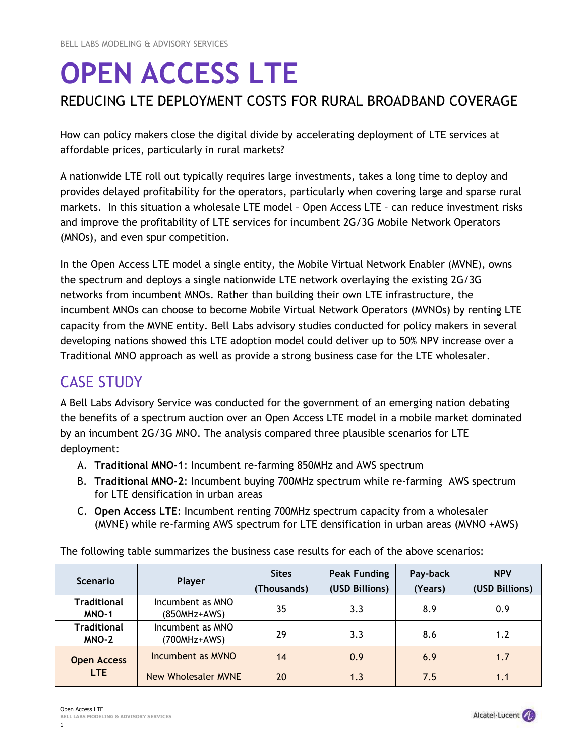# **OPEN ACCESS LTE**  REDUCING LTE DEPLOYMENT COSTS FOR RURAL BROADBAND COVERAGE

How can policy makers close the digital divide by accelerating deployment of LTE services at affordable prices, particularly in rural markets?

A nationwide LTE roll out typically requires large investments, takes a long time to deploy and provides delayed profitability for the operators, particularly when covering large and sparse rural markets. In this situation a wholesale LTE model – Open Access LTE – can reduce investment risks and improve the profitability of LTE services for incumbent 2G/3G Mobile Network Operators (MNOs), and even spur competition.

In the Open Access LTE model a single entity, the Mobile Virtual Network Enabler (MVNE), owns the spectrum and deploys a single nationwide LTE network overlaying the existing 2G/3G networks from incumbent MNOs. Rather than building their own LTE infrastructure, the incumbent MNOs can choose to become Mobile Virtual Network Operators (MVNOs) by renting LTE capacity from the MVNE entity. Bell Labs advisory studies conducted for policy makers in several developing nations showed this LTE adoption model could deliver up to 50% NPV increase over a Traditional MNO approach as well as provide a strong business case for the LTE wholesaler.

## CASE STUDY

A Bell Labs Advisory Service was conducted for the government of an emerging nation debating the benefits of a spectrum auction over an Open Access LTE model in a mobile market dominated by an incumbent 2G/3G MNO. The analysis compared three plausible scenarios for LTE deployment:

- A. **Traditional MNO-1**: Incumbent re-farming 850MHz and AWS spectrum
- B. **Traditional MNO-2**: Incumbent buying 700MHz spectrum while re-farming AWS spectrum for LTE densification in urban areas
- C. **Open Access LTE**: Incumbent renting 700MHz spectrum capacity from a wholesaler (MVNE) while re-farming AWS spectrum for LTE densification in urban areas (MVNO +AWS)

The following table summarizes the business case results for each of the above scenarios:

| <b>Scenario</b>                    | Player                           | <b>Sites</b> | <b>Peak Funding</b> | Pay-back | <b>NPV</b>     |
|------------------------------------|----------------------------------|--------------|---------------------|----------|----------------|
|                                    |                                  | (Thousands)  | (USD Billions)      | (Years)  | (USD Billions) |
| <b>Traditional</b><br>MNO-1        | Incumbent as MNO<br>(850MHz+AWS) | 35           | 3.3                 | 8.9      | 0.9            |
| <b>Traditional</b><br><b>MNO-2</b> | Incumbent as MNO<br>(700MHz+AWS) | 29           | 3.3                 | 8.6      | 1.2            |
| <b>Open Access</b><br>LTE.         | Incumbent as MVNO                | 14           | 0.9                 | 6.9      | 1.7            |
|                                    | New Wholesaler MVNE              | 20           | 1.3                 | 7.5      | 1.1            |